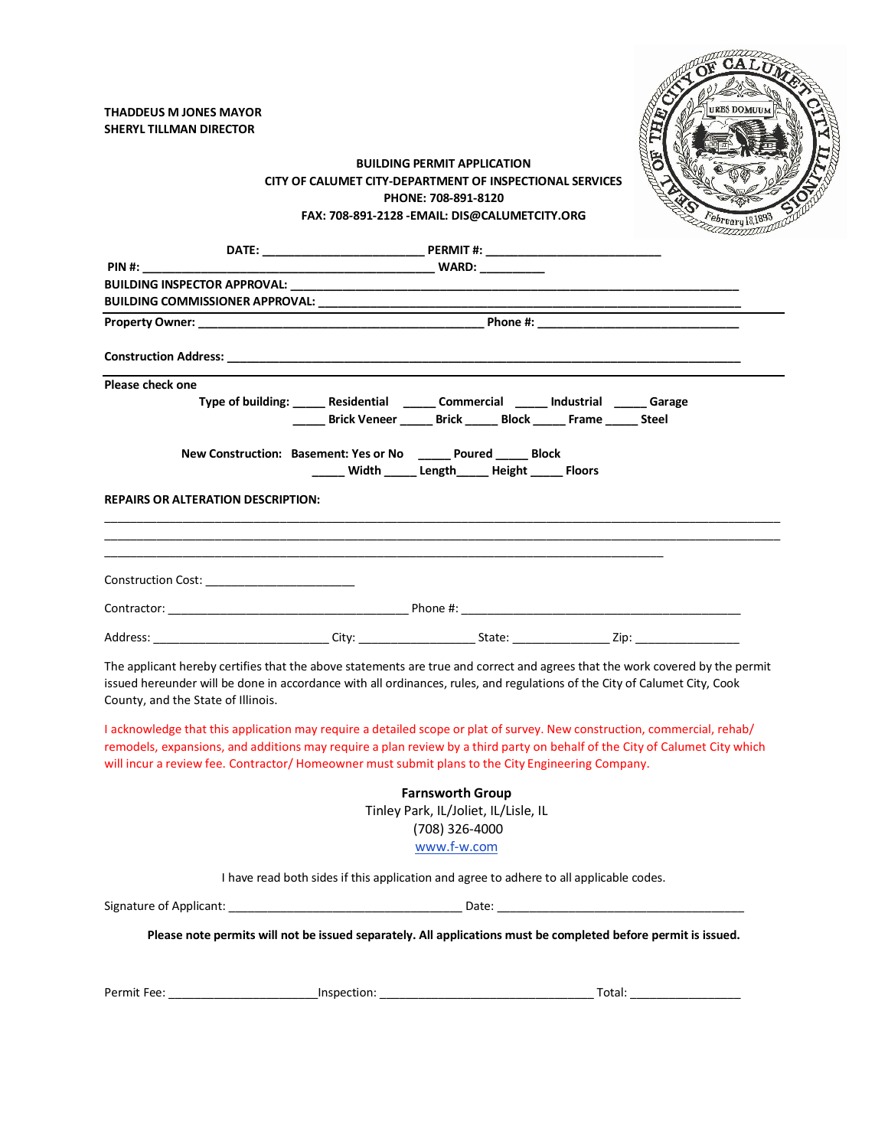

## **BUILDING PERMIT APPLICATION CITY OF CALUMET CITY-DEPARTMENT OF INSPECTIONAL SERVICES PHONE: 708-891-8120 FAX: 708-891-2128 -EMAIL: DIS@CALUMETCITY.ORG**

| $PIN \#$ :                                                                                                           |                                                                                                                                                              |                                      |                                                                                                                                                                                                                                                           |  |  |  |
|----------------------------------------------------------------------------------------------------------------------|--------------------------------------------------------------------------------------------------------------------------------------------------------------|--------------------------------------|-----------------------------------------------------------------------------------------------------------------------------------------------------------------------------------------------------------------------------------------------------------|--|--|--|
|                                                                                                                      |                                                                                                                                                              |                                      |                                                                                                                                                                                                                                                           |  |  |  |
|                                                                                                                      |                                                                                                                                                              |                                      |                                                                                                                                                                                                                                                           |  |  |  |
|                                                                                                                      |                                                                                                                                                              |                                      |                                                                                                                                                                                                                                                           |  |  |  |
|                                                                                                                      |                                                                                                                                                              |                                      |                                                                                                                                                                                                                                                           |  |  |  |
| Please check one                                                                                                     | Type of building: ______ Residential ______ Commercial ______ Industrial ______ Garage<br>_____ Brick Veneer _____ Brick _____ Block _____ Frame _____ Steel |                                      |                                                                                                                                                                                                                                                           |  |  |  |
| New Construction: Basement: Yes or No ______ Poured _____ Block<br>_____ Width _____ Length_____ Height _____ Floors |                                                                                                                                                              |                                      |                                                                                                                                                                                                                                                           |  |  |  |
| <b>REPAIRS OR ALTERATION DESCRIPTION:</b>                                                                            |                                                                                                                                                              |                                      |                                                                                                                                                                                                                                                           |  |  |  |
| Construction Cost: ________________________                                                                          |                                                                                                                                                              |                                      |                                                                                                                                                                                                                                                           |  |  |  |
|                                                                                                                      |                                                                                                                                                              |                                      |                                                                                                                                                                                                                                                           |  |  |  |
|                                                                                                                      |                                                                                                                                                              |                                      |                                                                                                                                                                                                                                                           |  |  |  |
| County, and the State of Illinois.                                                                                   |                                                                                                                                                              |                                      | The applicant hereby certifies that the above statements are true and correct and agrees that the work covered by the permit<br>issued hereunder will be done in accordance with all ordinances, rules, and regulations of the City of Calumet City, Cook |  |  |  |
|                                                                                                                      | will incur a review fee. Contractor/Homeowner must submit plans to the City Engineering Company.                                                             |                                      | I acknowledge that this application may require a detailed scope or plat of survey. New construction, commercial, rehab/<br>remodels, expansions, and additions may require a plan review by a third party on behalf of the City of Calumet City which    |  |  |  |
|                                                                                                                      |                                                                                                                                                              | <b>Farnsworth Group</b>              |                                                                                                                                                                                                                                                           |  |  |  |
|                                                                                                                      |                                                                                                                                                              | Tinley Park, IL/Joliet, IL/Lisle, IL |                                                                                                                                                                                                                                                           |  |  |  |
| (708) 326-4000                                                                                                       |                                                                                                                                                              |                                      |                                                                                                                                                                                                                                                           |  |  |  |
|                                                                                                                      |                                                                                                                                                              | www.f-w.com                          |                                                                                                                                                                                                                                                           |  |  |  |
|                                                                                                                      | I have read both sides if this application and agree to adhere to all applicable codes.                                                                      |                                      |                                                                                                                                                                                                                                                           |  |  |  |
|                                                                                                                      |                                                                                                                                                              |                                      |                                                                                                                                                                                                                                                           |  |  |  |
|                                                                                                                      |                                                                                                                                                              |                                      | Please note permits will not be issued separately. All applications must be completed before permit is issued.                                                                                                                                            |  |  |  |
|                                                                                                                      |                                                                                                                                                              |                                      |                                                                                                                                                                                                                                                           |  |  |  |